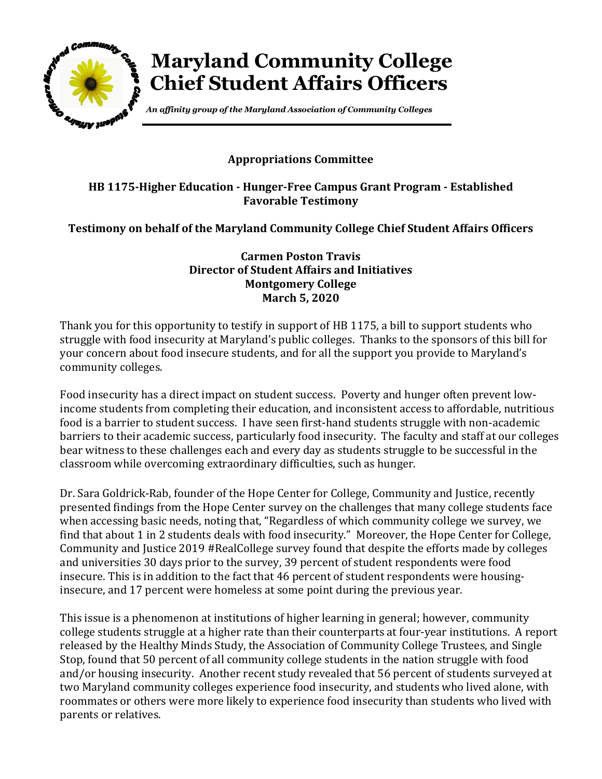

## **Maryland Community College Chief Student Affairs Officers**

*An affinity group of the Maryland Association of Community Colleges*

## **Appropriations Committee**

## **HB 1175-Higher Education - Hunger-Free Campus Grant Program - Established Favorable Testimony**

**Testimony on behalf of the Maryland Community College Chief Student Affairs Officers**

**Carmen Poston Travis Director of Student Affairs and Initiatives Montgomery College March 5, 2020**

Thank you for this opportunity to testify in support of HB 1175, a bill to support students who struggle with food insecurity at Maryland's public colleges. Thanks to the sponsors of this bill for your concern about food insecure students, and for all the support you provide to Maryland's community colleges.

Food insecurity has a direct impact on student success. Poverty and hunger often prevent lowincome students from completing their education, and inconsistent access to affordable, nutritious food is a barrier to student success. I have seen first-hand students struggle with non-academic barriers to their academic success, particularly food insecurity. The faculty and staff at our colleges bear witness to these challenges each and every day as students struggle to be successful in the classroom while overcoming extraordinary difficulties, such as hunger.

Dr. Sara Goldrick-Rab, founder of the Hope Center for College, Community and Justice, recently presented findings from the Hope Center survey on the challenges that many college students face when accessing basic needs, noting that, "Regardless of which community college we survey, we find that about 1 in 2 students deals with food insecurity." Moreover, the Hope Center for College, Community and Justice 2019 #RealCollege survey found that despite the efforts made by colleges and universities 30 days prior to the survey, 39 percent of student respondents were food insecure. This is in addition to the fact that 46 percent of student respondents were housinginsecure, and 17 percent were homeless at some point during the previous year.

This issue is a phenomenon at institutions of higher learning in general; however, community college students struggle at a higher rate than their counterparts at four-year institutions. A report released by the Healthy Minds Study, the Association of Community College Trustees, and Single Stop, found that 50 percent of all community college students in the nation struggle with food and/or housing insecurity. Another recent study revealed that 56 percent of students surveyed at two Maryland community colleges experience food insecurity, and students who lived alone, with roommates or others were more likely to experience food insecurity than students who lived with parents or relatives.